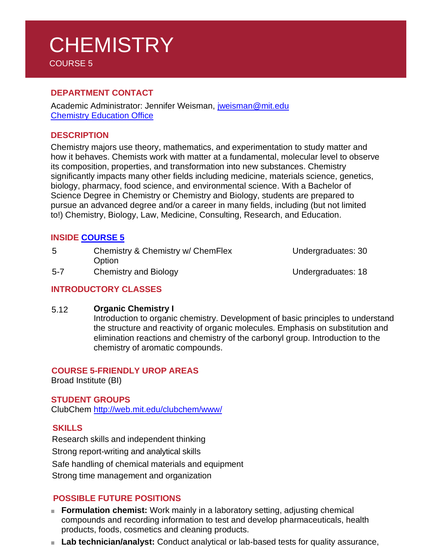# **CHEMISTRY** COURSE 5

## **DEPARTMENT CONTACT**

Academic Administrator: Jennifer Weisman, [jweisman@mit.edu](mailto:jweisman@mit.edu) Chemistry [Education Office](https://chemistry.mit.edu/academic-programs/our-chemistry-education-office/)

### **DESCRIPTION**

Chemistry majors use theory, mathematics, and experimentation to study matter and how it behaves. Chemists work with matter at a fundamental, molecular level to observe its composition, properties, and transformation into new substances. Chemistry significantly impacts many other fields including medicine, materials science, genetics, biology, pharmacy, food science, and environmental science. With a Bachelor of Science Degree in Chemistry or Chemistry and Biology, students are prepared to pursue an advanced degree and/or a career in many fields, including (but not limited to!) Chemistry, Biology, Law, Medicine, Consulting, Research, and Education.

## **INSIDE [COURSE](https://chemistry.mit.edu/academic-programs/undergraduate-programs/) 5**

| 5       | Chemistry & Chemistry w/ ChemFlex<br>Option | Undergraduates: 30 |
|---------|---------------------------------------------|--------------------|
| $5 - 7$ | <b>Chemistry and Biology</b>                | Undergraduates: 18 |

#### **INTRODUCTORY CLASSES**

#### 5.12 **Organic Chemistry I**

Introduction to organic chemistry. Development of basic principles to understand the structure and reactivity of organic molecules. Emphasis on substitution and elimination reactions and chemistry of the carbonyl group. Introduction to the chemistry of aromatic compounds.

#### **COURSE 5-FRIENDLY UROP AREAS**

Broad Institute (BI)

## **STUDENT GROUPS**

ClubChem<http://web.mit.edu/clubchem/www/>

#### **SKILLS**

Research skills and independent thinking Strong report-writing and analytical skills Safe handling of chemical materials and equipment Strong time management and organization

## **POSSIBLE FUTURE POSITIONS**

- **Formulation chemist:** Work mainly in a laboratory setting, adjusting chemical compounds and recording information to test and develop pharmaceuticals, health products, foods, cosmetics and cleaning products.
- Lab technician/analyst: Conduct analytical or lab-based tests for quality assurance,